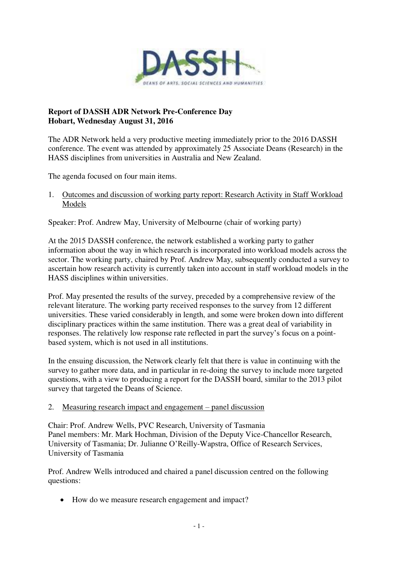

# **Report of DASSH ADR Network Pre-Conference Day Hobart, Wednesday August 31, 2016**

The ADR Network held a very productive meeting immediately prior to the 2016 DASSH conference. The event was attended by approximately 25 Associate Deans (Research) in the HASS disciplines from universities in Australia and New Zealand.

The agenda focused on four main items.

1. Outcomes and discussion of working party report: Research Activity in Staff Workload Models

Speaker: Prof. Andrew May, University of Melbourne (chair of working party)

At the 2015 DASSH conference, the network established a working party to gather information about the way in which research is incorporated into workload models across the sector. The working party, chaired by Prof. Andrew May, subsequently conducted a survey to ascertain how research activity is currently taken into account in staff workload models in the HASS disciplines within universities.

Prof. May presented the results of the survey, preceded by a comprehensive review of the relevant literature. The working party received responses to the survey from 12 different universities. These varied considerably in length, and some were broken down into different disciplinary practices within the same institution. There was a great deal of variability in responses. The relatively low response rate reflected in part the survey's focus on a pointbased system, which is not used in all institutions.

In the ensuing discussion, the Network clearly felt that there is value in continuing with the survey to gather more data, and in particular in re-doing the survey to include more targeted questions, with a view to producing a report for the DASSH board, similar to the 2013 pilot survey that targeted the Deans of Science.

# 2. Measuring research impact and engagement – panel discussion

Chair: Prof. Andrew Wells, PVC Research, University of Tasmania Panel members: Mr. Mark Hochman, Division of the Deputy Vice-Chancellor Research, University of Tasmania; Dr. Julianne O'Reilly-Wapstra, Office of Research Services, University of Tasmania

Prof. Andrew Wells introduced and chaired a panel discussion centred on the following questions:

• How do we measure research engagement and impact?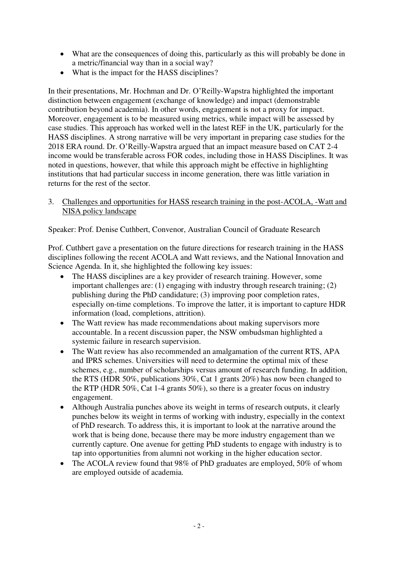- What are the consequences of doing this, particularly as this will probably be done in a metric/financial way than in a social way?
- What is the impact for the HASS disciplines?

In their presentations, Mr. Hochman and Dr. O'Reilly-Wapstra highlighted the important distinction between engagement (exchange of knowledge) and impact (demonstrable contribution beyond academia). In other words, engagement is not a proxy for impact. Moreover, engagement is to be measured using metrics, while impact will be assessed by case studies. This approach has worked well in the latest REF in the UK, particularly for the HASS disciplines. A strong narrative will be very important in preparing case studies for the 2018 ERA round. Dr. O'Reilly-Wapstra argued that an impact measure based on CAT 2-4 income would be transferable across FOR codes, including those in HASS Disciplines. It was noted in questions, however, that while this approach might be effective in highlighting institutions that had particular success in income generation, there was little variation in returns for the rest of the sector.

3. Challenges and opportunities for HASS research training in the post-ACOLA, -Watt and NISA policy landscape

Speaker: Prof. Denise Cuthbert, Convenor, Australian Council of Graduate Research

Prof. Cuthbert gave a presentation on the future directions for research training in the HASS disciplines following the recent ACOLA and Watt reviews, and the National Innovation and Science Agenda. In it, she highlighted the following key issues:

- The HASS disciplines are a key provider of research training. However, some important challenges are: (1) engaging with industry through research training; (2) publishing during the PhD candidature; (3) improving poor completion rates, especially on-time completions. To improve the latter, it is important to capture HDR information (load, completions, attrition).
- The Watt review has made recommendations about making supervisors more accountable. In a recent discussion paper, the NSW ombudsman highlighted a systemic failure in research supervision.
- The Watt review has also recommended an amalgamation of the current RTS, APA and IPRS schemes. Universities will need to determine the optimal mix of these schemes, e.g., number of scholarships versus amount of research funding. In addition, the RTS (HDR 50%, publications 30%, Cat 1 grants 20%) has now been changed to the RTP (HDR 50%, Cat 1-4 grants 50%), so there is a greater focus on industry engagement.
- Although Australia punches above its weight in terms of research outputs, it clearly punches below its weight in terms of working with industry, especially in the context of PhD research. To address this, it is important to look at the narrative around the work that is being done, because there may be more industry engagement than we currently capture. One avenue for getting PhD students to engage with industry is to tap into opportunities from alumni not working in the higher education sector.
- The ACOLA review found that 98% of PhD graduates are employed, 50% of whom are employed outside of academia.